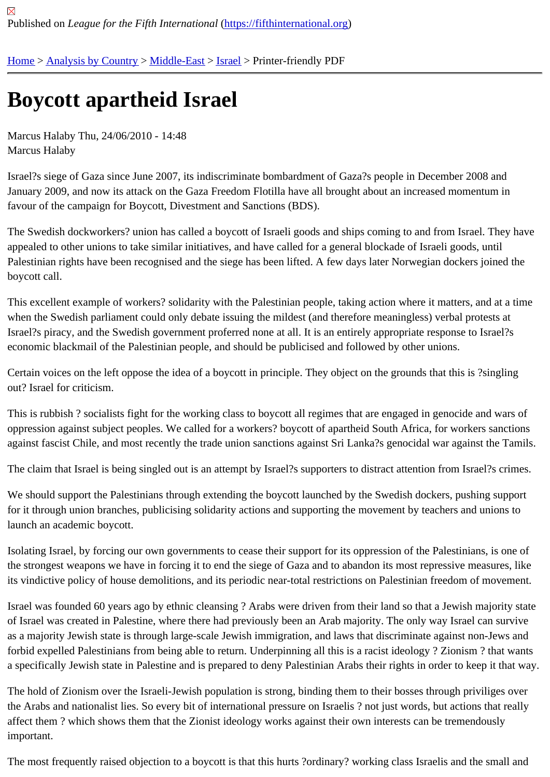## [Bo](https://fifthinternational.org/)y[cott apart](https://fifthinternational.org/category/1)[heid Isr](https://fifthinternational.org/category/1/178)[ael](https://fifthinternational.org/category/1/178/465)

Marcus Halaby Thu, 24/06/2010 - 14:48 Marcus Halaby

Israel?s siege of Gaza since June 2007, its indiscriminate bombardment of Gaza?s people in December 2008 and January 2009, and now its attack on the Gaza Freedom Flotilla have all brought about an increased momentum in favour of the campaign for Boycott, Divestment and Sanctions (BDS).

The Swedish dockworkers? union has called a boycott of Israeli goods and ships coming to and from Israel. They appealed to other unions to take similar initiatives, and have called for a general blockade of Israeli goods, until Palestinian rights have been recognised and the siege has been lifted. A few days later Norwegian dockers joined boycott call.

This excellent example of workers? solidarity with the Palestinian people, taking action where it matters, and at a t when the Swedish parliament could only debate issuing the mildest (and therefore meaningless) verbal protests at Israel?s piracy, and the Swedish government proferred none at all. It is an entirely appropriate response to Israel? economic blackmail of the Palestinian people, and should be publicised and followed by other unions.

Certain voices on the left oppose the idea of a boycott in principle. They object on the grounds that this is ?singling out? Israel for criticism.

This is rubbish? socialists fight for the working class to boycott all regimes that are engaged in genocide and wars oppression against subject peoples. We called for a workers? boycott of apartheid South Africa, for workers sancti against fascist Chile, and most recently the trade union sanctions against Sri Lanka?s genocidal war against the T

The claim that Israel is being singled out is an attempt by Israel?s supporters to distract attention from Israel?s crin

We should support the Palestinians through extending the boycott launched by the Swedish dockers, pushing sup for it through union branches, publicising solidarity actions and supporting the movement by teachers and unions t launch an academic boycott.

Isolating Israel, by forcing our own governments to cease their support for its oppression of the Palestinians, is one the strongest weapons we have in forcing it to end the siege of Gaza and to abandon its most repressive measure its vindictive policy of house demolitions, and its periodic near-total restrictions on Palestinian freedom of moveme

Israel was founded 60 years ago by ethnic cleansing ? Arabs were driven from their land so that a Jewish majority of Israel was created in Palestine, where there had previously been an Arab majority. The only way Israel can surv as a majority Jewish state is through large-scale Jewish immigration, and laws that discriminate against non-Jews forbid expelled Palestinians from being able to return. Underpinning all this is a racist ideology? Zionism? that wa a specifically Jewish state in Palestine and is prepared to deny Palestinian Arabs their rights in order to keep it tha

The hold of Zionism over the Israeli-Jewish population is strong, binding them to their bosses through priviliges ov the Arabs and nationalist lies. So every bit of international pressure on Israelis ? not just words, but actions that re affect them ? which shows them that the Zionist ideology works against their own interests can be tremendously important.

The most frequently raised objection to a boycott is that this hurts ?ordinary? working class Israelis and the small and